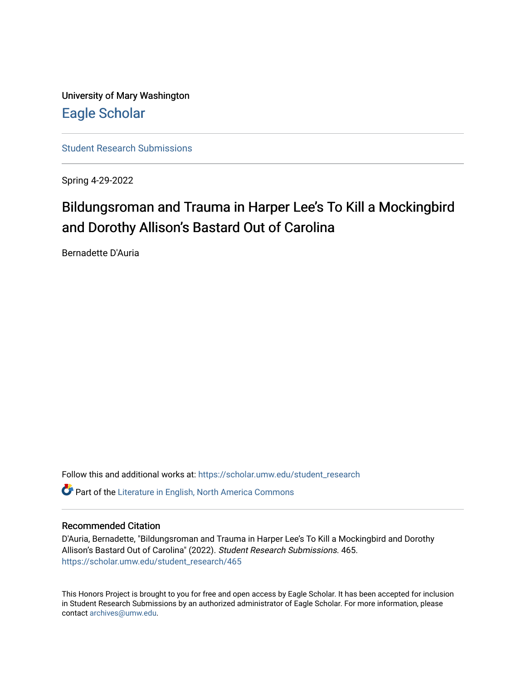University of Mary Washington [Eagle Scholar](https://scholar.umw.edu/) 

[Student Research Submissions](https://scholar.umw.edu/student_research) 

Spring 4-29-2022

## Bildungsroman and Trauma in Harper Lee's To Kill a Mockingbird and Dorothy Allison's Bastard Out of Carolina

Bernadette D'Auria

Follow this and additional works at: [https://scholar.umw.edu/student\\_research](https://scholar.umw.edu/student_research?utm_source=scholar.umw.edu%2Fstudent_research%2F465&utm_medium=PDF&utm_campaign=PDFCoverPages) **C** Part of the Literature in English, North America Commons

## Recommended Citation

D'Auria, Bernadette, "Bildungsroman and Trauma in Harper Lee's To Kill a Mockingbird and Dorothy Allison's Bastard Out of Carolina" (2022). Student Research Submissions. 465. [https://scholar.umw.edu/student\\_research/465](https://scholar.umw.edu/student_research/465?utm_source=scholar.umw.edu%2Fstudent_research%2F465&utm_medium=PDF&utm_campaign=PDFCoverPages)

This Honors Project is brought to you for free and open access by Eagle Scholar. It has been accepted for inclusion in Student Research Submissions by an authorized administrator of Eagle Scholar. For more information, please contact [archives@umw.edu](mailto:archives@umw.edu).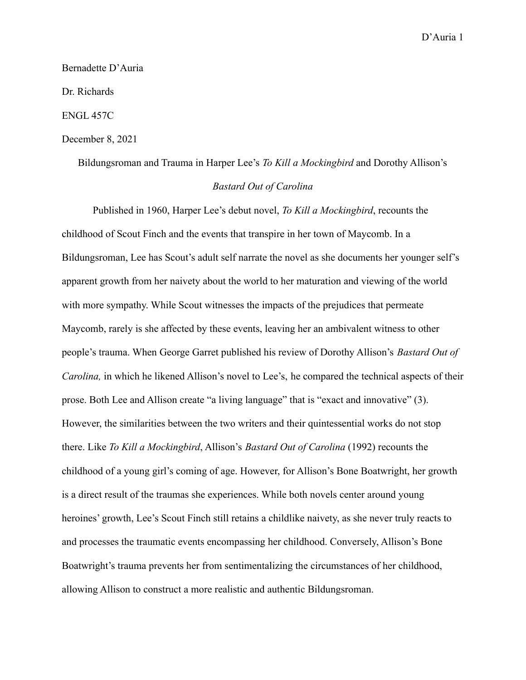Bernadette D'Auria

Dr. Richards

ENGL 457C

## December 8, 2021

Bildungsroman and Trauma in Harper Lee's *To Kill a Mockingbird* and Dorothy Allison's *Bastard Out of Carolina*

Published in 1960, Harper Lee's debut novel, *To Kill a Mockingbird*, recounts the childhood of Scout Finch and the events that transpire in her town of Maycomb. In a Bildungsroman, Lee has Scout's adult self narrate the novel as she documents her younger self's apparent growth from her naivety about the world to her maturation and viewing of the world with more sympathy. While Scout witnesses the impacts of the prejudices that permeate Maycomb, rarely is she affected by these events, leaving her an ambivalent witness to other people's trauma. When George Garret published his review of Dorothy Allison's *Bastard Out of Carolina,* in which he likened Allison's novel to Lee's, he compared the technical aspects of their prose. Both Lee and Allison create "a living language" that is "exact and innovative" (3). However, the similarities between the two writers and their quintessential works do not stop there. Like *To Kill a Mockingbird*, Allison's *Bastard Out of Carolina* (1992) recounts the childhood of a young girl's coming of age. However, for Allison's Bone Boatwright, her growth is a direct result of the traumas she experiences. While both novels center around young heroines' growth, Lee's Scout Finch still retains a childlike naivety, as she never truly reacts to and processes the traumatic events encompassing her childhood. Conversely, Allison's Bone Boatwright's trauma prevents her from sentimentalizing the circumstances of her childhood, allowing Allison to construct a more realistic and authentic Bildungsroman.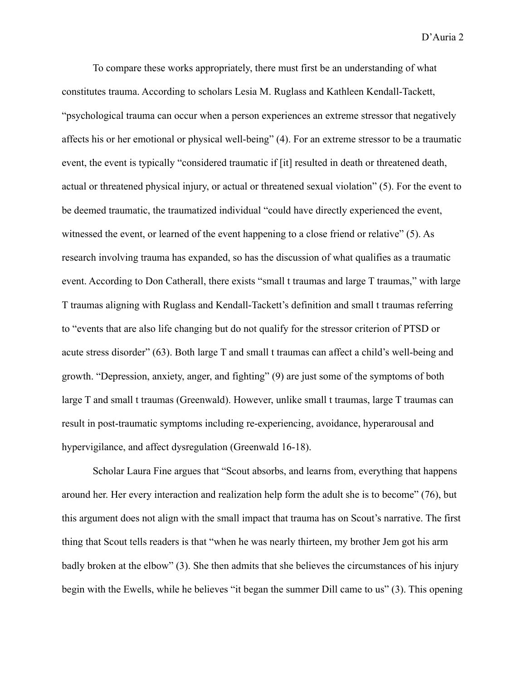To compare these works appropriately, there must first be an understanding of what constitutes trauma. According to scholars Lesia M. Ruglass and Kathleen Kendall-Tackett, "psychological trauma can occur when a person experiences an extreme stressor that negatively affects his or her emotional or physical well-being" (4). For an extreme stressor to be a traumatic event, the event is typically "considered traumatic if [it] resulted in death or threatened death, actual or threatened physical injury, or actual or threatened sexual violation" (5). For the event to be deemed traumatic, the traumatized individual "could have directly experienced the event, witnessed the event, or learned of the event happening to a close friend or relative" (5). As research involving trauma has expanded, so has the discussion of what qualifies as a traumatic event. According to Don Catherall, there exists "small t traumas and large T traumas," with large T traumas aligning with Ruglass and Kendall-Tackett's definition and small t traumas referring to "events that are also life changing but do not qualify for the stressor criterion of PTSD or acute stress disorder" (63). Both large T and small t traumas can affect a child's well-being and growth. "Depression, anxiety, anger, and fighting" (9) are just some of the symptoms of both large T and small t traumas (Greenwald). However, unlike small t traumas, large T traumas can result in post-traumatic symptoms including re-experiencing, avoidance, hyperarousal and hypervigilance, and affect dysregulation (Greenwald 16-18).

Scholar Laura Fine argues that "Scout absorbs, and learns from, everything that happens around her. Her every interaction and realization help form the adult she is to become" (76), but this argument does not align with the small impact that trauma has on Scout's narrative. The first thing that Scout tells readers is that "when he was nearly thirteen, my brother Jem got his arm badly broken at the elbow" (3). She then admits that she believes the circumstances of his injury begin with the Ewells, while he believes "it began the summer Dill came to us" (3). This opening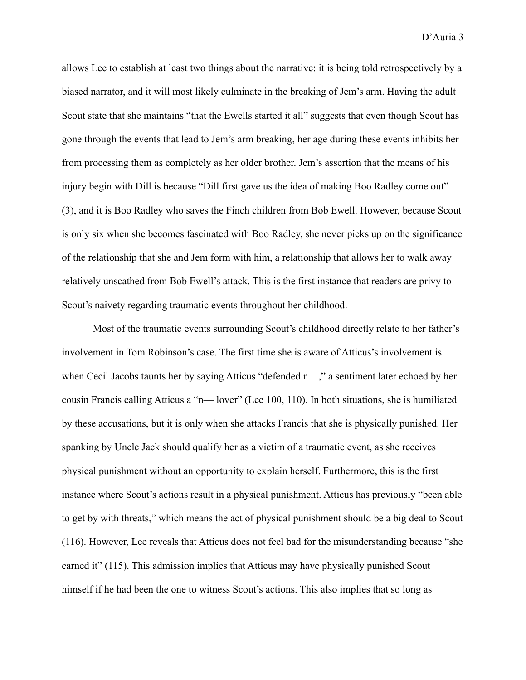allows Lee to establish at least two things about the narrative: it is being told retrospectively by a biased narrator, and it will most likely culminate in the breaking of Jem's arm. Having the adult Scout state that she maintains "that the Ewells started it all" suggests that even though Scout has gone through the events that lead to Jem's arm breaking, her age during these events inhibits her from processing them as completely as her older brother. Jem's assertion that the means of his injury begin with Dill is because "Dill first gave us the idea of making Boo Radley come out" (3), and it is Boo Radley who saves the Finch children from Bob Ewell. However, because Scout is only six when she becomes fascinated with Boo Radley, she never picks up on the significance of the relationship that she and Jem form with him, a relationship that allows her to walk away relatively unscathed from Bob Ewell's attack. This is the first instance that readers are privy to Scout's naivety regarding traumatic events throughout her childhood.

Most of the traumatic events surrounding Scout's childhood directly relate to her father's involvement in Tom Robinson's case. The first time she is aware of Atticus's involvement is when Cecil Jacobs taunts her by saying Atticus "defended n—," a sentiment later echoed by her cousin Francis calling Atticus a "n— lover" (Lee 100, 110). In both situations, she is humiliated by these accusations, but it is only when she attacks Francis that she is physically punished. Her spanking by Uncle Jack should qualify her as a victim of a traumatic event, as she receives physical punishment without an opportunity to explain herself. Furthermore, this is the first instance where Scout's actions result in a physical punishment. Atticus has previously "been able to get by with threats," which means the act of physical punishment should be a big deal to Scout (116). However, Lee reveals that Atticus does not feel bad for the misunderstanding because "she earned it" (115). This admission implies that Atticus may have physically punished Scout himself if he had been the one to witness Scout's actions. This also implies that so long as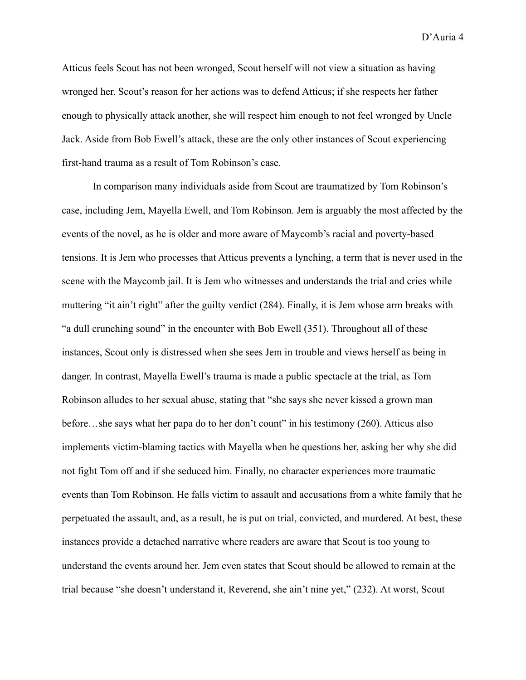Atticus feels Scout has not been wronged, Scout herself will not view a situation as having wronged her. Scout's reason for her actions was to defend Atticus; if she respects her father enough to physically attack another, she will respect him enough to not feel wronged by Uncle Jack. Aside from Bob Ewell's attack, these are the only other instances of Scout experiencing first-hand trauma as a result of Tom Robinson's case.

In comparison many individuals aside from Scout are traumatized by Tom Robinson's case, including Jem, Mayella Ewell, and Tom Robinson. Jem is arguably the most affected by the events of the novel, as he is older and more aware of Maycomb's racial and poverty-based tensions. It is Jem who processes that Atticus prevents a lynching, a term that is never used in the scene with the Maycomb jail. It is Jem who witnesses and understands the trial and cries while muttering "it ain't right" after the guilty verdict (284). Finally, it is Jem whose arm breaks with "a dull crunching sound" in the encounter with Bob Ewell (351). Throughout all of these instances, Scout only is distressed when she sees Jem in trouble and views herself as being in danger. In contrast, Mayella Ewell's trauma is made a public spectacle at the trial, as Tom Robinson alludes to her sexual abuse, stating that "she says she never kissed a grown man before…she says what her papa do to her don't count" in his testimony (260). Atticus also implements victim-blaming tactics with Mayella when he questions her, asking her why she did not fight Tom off and if she seduced him. Finally, no character experiences more traumatic events than Tom Robinson. He falls victim to assault and accusations from a white family that he perpetuated the assault, and, as a result, he is put on trial, convicted, and murdered. At best, these instances provide a detached narrative where readers are aware that Scout is too young to understand the events around her. Jem even states that Scout should be allowed to remain at the trial because "she doesn't understand it, Reverend, she ain't nine yet," (232). At worst, Scout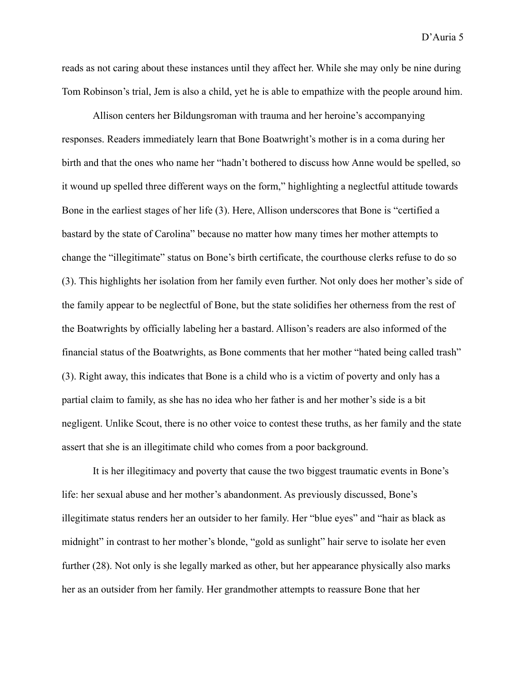reads as not caring about these instances until they affect her. While she may only be nine during Tom Robinson's trial, Jem is also a child, yet he is able to empathize with the people around him.

Allison centers her Bildungsroman with trauma and her heroine's accompanying responses. Readers immediately learn that Bone Boatwright's mother is in a coma during her birth and that the ones who name her "hadn't bothered to discuss how Anne would be spelled, so it wound up spelled three different ways on the form," highlighting a neglectful attitude towards Bone in the earliest stages of her life (3). Here, Allison underscores that Bone is "certified a bastard by the state of Carolina" because no matter how many times her mother attempts to change the "illegitimate" status on Bone's birth certificate, the courthouse clerks refuse to do so (3). This highlights her isolation from her family even further. Not only does her mother's side of the family appear to be neglectful of Bone, but the state solidifies her otherness from the rest of the Boatwrights by officially labeling her a bastard. Allison's readers are also informed of the financial status of the Boatwrights, as Bone comments that her mother "hated being called trash" (3). Right away, this indicates that Bone is a child who is a victim of poverty and only has a partial claim to family, as she has no idea who her father is and her mother's side is a bit negligent. Unlike Scout, there is no other voice to contest these truths, as her family and the state assert that she is an illegitimate child who comes from a poor background.

It is her illegitimacy and poverty that cause the two biggest traumatic events in Bone's life: her sexual abuse and her mother's abandonment. As previously discussed, Bone's illegitimate status renders her an outsider to her family. Her "blue eyes" and "hair as black as midnight" in contrast to her mother's blonde, "gold as sunlight" hair serve to isolate her even further (28). Not only is she legally marked as other, but her appearance physically also marks her as an outsider from her family. Her grandmother attempts to reassure Bone that her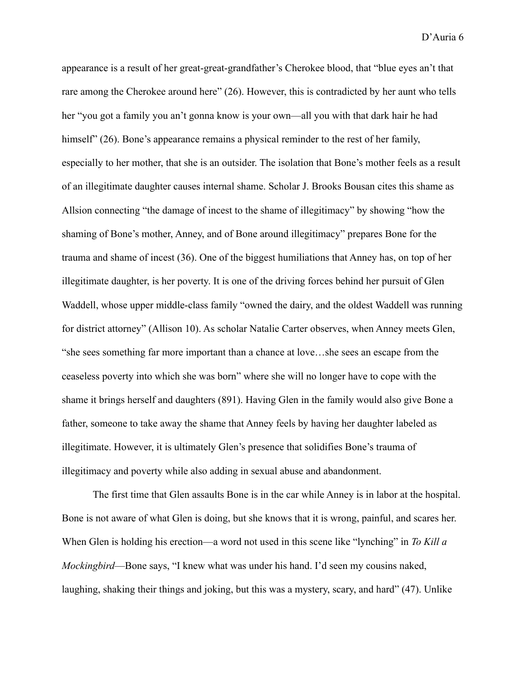appearance is a result of her great-great-grandfather's Cherokee blood, that "blue eyes an't that rare among the Cherokee around here" (26). However, this is contradicted by her aunt who tells her "you got a family you an't gonna know is your own—all you with that dark hair he had himself" (26). Bone's appearance remains a physical reminder to the rest of her family, especially to her mother, that she is an outsider. The isolation that Bone's mother feels as a result of an illegitimate daughter causes internal shame. Scholar J. Brooks Bousan cites this shame as Allsion connecting "the damage of incest to the shame of illegitimacy" by showing "how the shaming of Bone's mother, Anney, and of Bone around illegitimacy" prepares Bone for the trauma and shame of incest (36). One of the biggest humiliations that Anney has, on top of her illegitimate daughter, is her poverty. It is one of the driving forces behind her pursuit of Glen Waddell, whose upper middle-class family "owned the dairy, and the oldest Waddell was running for district attorney" (Allison 10). As scholar Natalie Carter observes, when Anney meets Glen, "she sees something far more important than a chance at love…she sees an escape from the ceaseless poverty into which she was born" where she will no longer have to cope with the shame it brings herself and daughters (891). Having Glen in the family would also give Bone a father, someone to take away the shame that Anney feels by having her daughter labeled as illegitimate. However, it is ultimately Glen's presence that solidifies Bone's trauma of illegitimacy and poverty while also adding in sexual abuse and abandonment.

The first time that Glen assaults Bone is in the car while Anney is in labor at the hospital. Bone is not aware of what Glen is doing, but she knows that it is wrong, painful, and scares her. When Glen is holding his erection—a word not used in this scene like "lynching" in *To Kill a Mockingbird*—Bone says, "I knew what was under his hand. I'd seen my cousins naked, laughing, shaking their things and joking, but this was a mystery, scary, and hard" (47). Unlike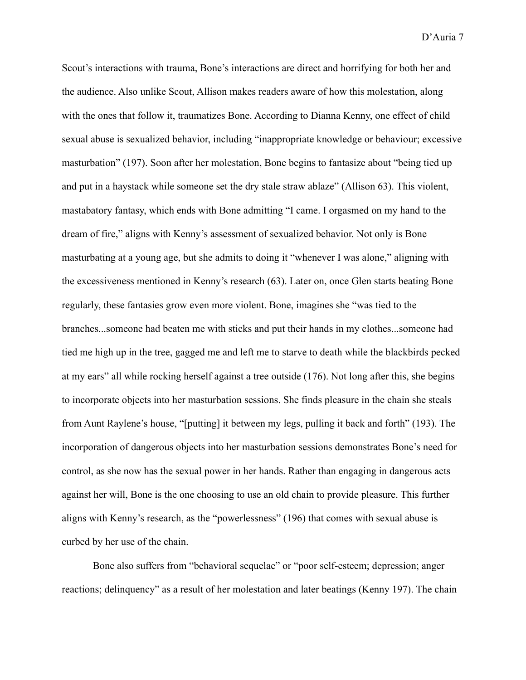Scout's interactions with trauma, Bone's interactions are direct and horrifying for both her and the audience. Also unlike Scout, Allison makes readers aware of how this molestation, along with the ones that follow it, traumatizes Bone. According to Dianna Kenny, one effect of child sexual abuse is sexualized behavior, including "inappropriate knowledge or behaviour; excessive masturbation" (197). Soon after her molestation, Bone begins to fantasize about "being tied up and put in a haystack while someone set the dry stale straw ablaze" (Allison 63). This violent, mastabatory fantasy, which ends with Bone admitting "I came. I orgasmed on my hand to the dream of fire," aligns with Kenny's assessment of sexualized behavior. Not only is Bone masturbating at a young age, but she admits to doing it "whenever I was alone," aligning with the excessiveness mentioned in Kenny's research (63). Later on, once Glen starts beating Bone regularly, these fantasies grow even more violent. Bone, imagines she "was tied to the branches...someone had beaten me with sticks and put their hands in my clothes...someone had tied me high up in the tree, gagged me and left me to starve to death while the blackbirds pecked at my ears" all while rocking herself against a tree outside (176). Not long after this, she begins to incorporate objects into her masturbation sessions. She finds pleasure in the chain she steals from Aunt Raylene's house, "[putting] it between my legs, pulling it back and forth" (193). The incorporation of dangerous objects into her masturbation sessions demonstrates Bone's need for control, as she now has the sexual power in her hands. Rather than engaging in dangerous acts against her will, Bone is the one choosing to use an old chain to provide pleasure. This further aligns with Kenny's research, as the "powerlessness" (196) that comes with sexual abuse is curbed by her use of the chain.

Bone also suffers from "behavioral sequelae" or "poor self-esteem; depression; anger reactions; delinquency" as a result of her molestation and later beatings (Kenny 197). The chain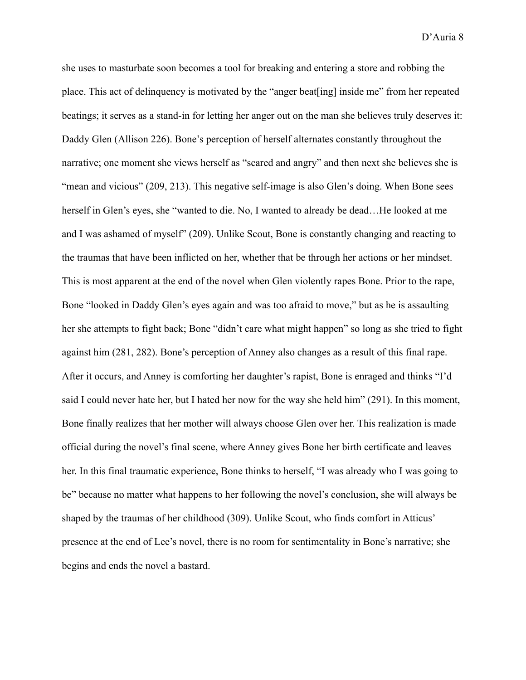she uses to masturbate soon becomes a tool for breaking and entering a store and robbing the place. This act of delinquency is motivated by the "anger beat[ing] inside me" from her repeated beatings; it serves as a stand-in for letting her anger out on the man she believes truly deserves it: Daddy Glen (Allison 226). Bone's perception of herself alternates constantly throughout the narrative; one moment she views herself as "scared and angry" and then next she believes she is "mean and vicious" (209, 213). This negative self-image is also Glen's doing. When Bone sees herself in Glen's eyes, she "wanted to die. No, I wanted to already be dead...He looked at me and I was ashamed of myself" (209). Unlike Scout, Bone is constantly changing and reacting to the traumas that have been inflicted on her, whether that be through her actions or her mindset. This is most apparent at the end of the novel when Glen violently rapes Bone. Prior to the rape, Bone "looked in Daddy Glen's eyes again and was too afraid to move," but as he is assaulting her she attempts to fight back; Bone "didn't care what might happen" so long as she tried to fight against him (281, 282). Bone's perception of Anney also changes as a result of this final rape. After it occurs, and Anney is comforting her daughter's rapist, Bone is enraged and thinks "I'd said I could never hate her, but I hated her now for the way she held him" (291). In this moment, Bone finally realizes that her mother will always choose Glen over her. This realization is made official during the novel's final scene, where Anney gives Bone her birth certificate and leaves her. In this final traumatic experience, Bone thinks to herself, "I was already who I was going to be" because no matter what happens to her following the novel's conclusion, she will always be shaped by the traumas of her childhood (309). Unlike Scout, who finds comfort in Atticus' presence at the end of Lee's novel, there is no room for sentimentality in Bone's narrative; she begins and ends the novel a bastard.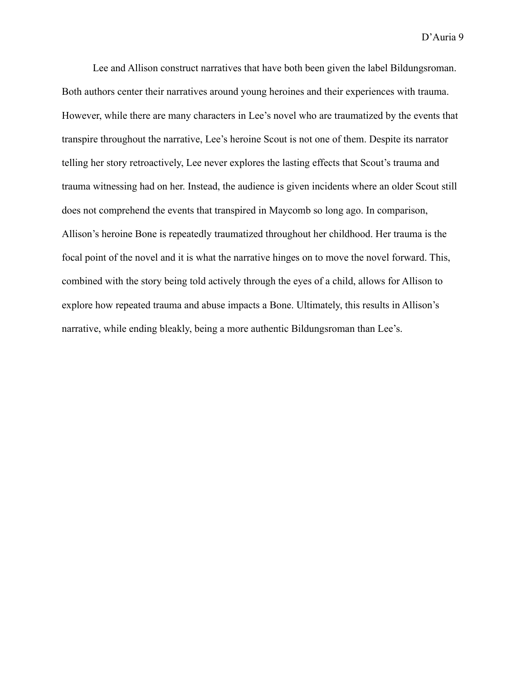Lee and Allison construct narratives that have both been given the label Bildungsroman. Both authors center their narratives around young heroines and their experiences with trauma. However, while there are many characters in Lee's novel who are traumatized by the events that transpire throughout the narrative, Lee's heroine Scout is not one of them. Despite its narrator telling her story retroactively, Lee never explores the lasting effects that Scout's trauma and trauma witnessing had on her. Instead, the audience is given incidents where an older Scout still does not comprehend the events that transpired in Maycomb so long ago. In comparison, Allison's heroine Bone is repeatedly traumatized throughout her childhood. Her trauma is the focal point of the novel and it is what the narrative hinges on to move the novel forward. This, combined with the story being told actively through the eyes of a child, allows for Allison to explore how repeated trauma and abuse impacts a Bone. Ultimately, this results in Allison's narrative, while ending bleakly, being a more authentic Bildungsroman than Lee's.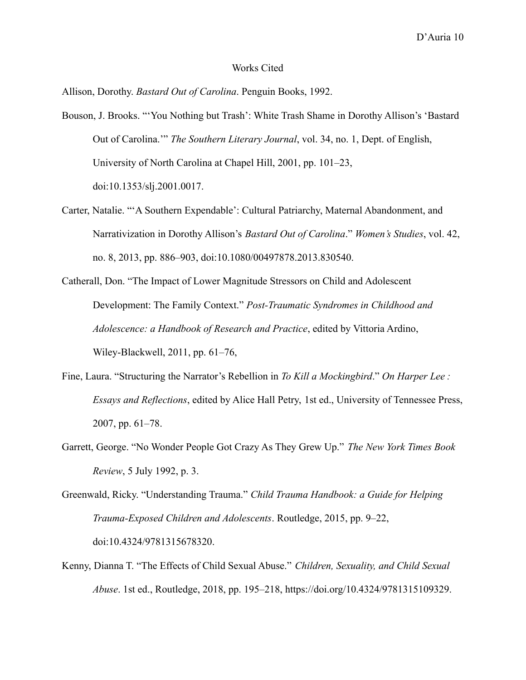## Works Cited

Allison, Dorothy. *Bastard Out of Carolina*. Penguin Books, 1992.

- Bouson, J. Brooks. "'You Nothing but Trash': White Trash Shame in Dorothy Allison's 'Bastard Out of Carolina.'" *The Southern Literary Journal*, vol. 34, no. 1, Dept. of English, University of North Carolina at Chapel Hill, 2001, pp. 101–23, doi:10.1353/slj.2001.0017.
- Carter, Natalie. "'A Southern Expendable': Cultural Patriarchy, Maternal Abandonment, and Narrativization in Dorothy Allison's *Bastard Out of Carolina*." *Women's Studies*, vol. 42, no. 8, 2013, pp. 886–903, doi:10.1080/00497878.2013.830540.
- Catherall, Don. "The Impact of Lower Magnitude Stressors on Child and Adolescent Development: The Family Context." *Post-Traumatic Syndromes in Childhood and Adolescence: a Handbook of Research and Practice*, edited by Vittoria Ardino, Wiley-Blackwell, 2011, pp. 61–76,
- Fine, Laura. "Structuring the Narrator's Rebellion in *To Kill a Mockingbird*." *On Harper Lee : Essays and Reflections*, edited by Alice Hall Petry, 1st ed., University of Tennessee Press, 2007, pp. 61–78.
- Garrett, George. "No Wonder People Got Crazy As They Grew Up." *The New York Times Book Review*, 5 July 1992, p. 3.

Greenwald, Ricky. "Understanding Trauma." *Child Trauma Handbook: a Guide for Helping Trauma-Exposed Children and Adolescents*. Routledge, 2015, pp. 9–22, doi:10.4324/9781315678320.

Kenny, Dianna T. "The Effects of Child Sexual Abuse." *Children, Sexuality, and Child Sexual Abuse*. 1st ed., Routledge, 2018, pp. 195–218, https://doi.org/10.4324/9781315109329.